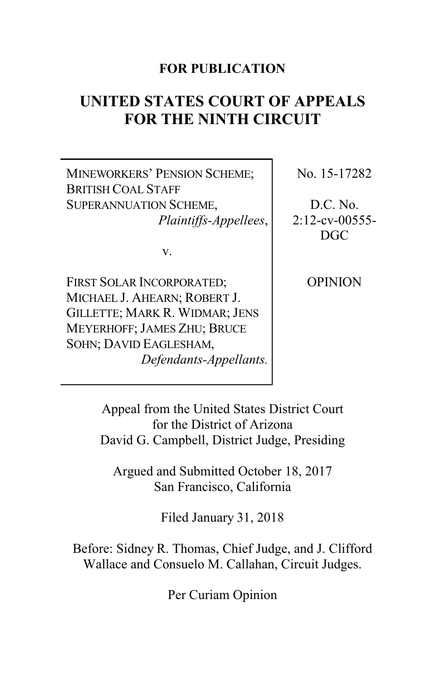### **FOR PUBLICATION**

# **UNITED STATES COURT OF APPEALS FOR THE NINTH CIRCUIT**

MINEWORKERS' PENSION SCHEME; BRITISH COAL STAFF SUPERANNUATION SCHEME, *Plaintiffs-Appellees*,

v.

FIRST SOLAR INCORPORATED; MICHAEL J. AHEARN; ROBERT J. GILLETTE; MARK R. WIDMAR; JENS MEYERHOFF; JAMES ZHU; BRUCE SOHN; DAVID EAGLESHAM, *Defendants-Appellants.* No. 15-17282

D.C. No.  $2:12$ -cv-00555-DGC

**OPINION** 

Appeal from the United States District Court for the District of Arizona David G. Campbell, District Judge, Presiding

Argued and Submitted October 18, 2017 San Francisco, California

Filed January 31, 2018

Before: Sidney R. Thomas, Chief Judge, and J. Clifford Wallace and Consuelo M. Callahan, Circuit Judges.

Per Curiam Opinion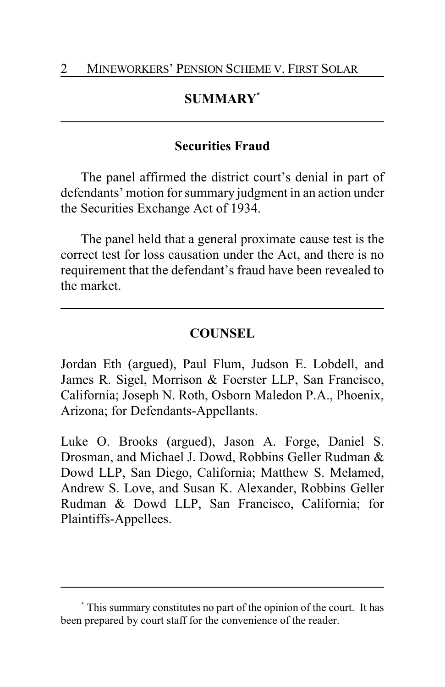# **SUMMARY\***

### **Securities Fraud**

The panel affirmed the district court's denial in part of defendants' motion for summary judgment in an action under the Securities Exchange Act of 1934.

The panel held that a general proximate cause test is the correct test for loss causation under the Act, and there is no requirement that the defendant's fraud have been revealed to the market.

## **COUNSEL**

Jordan Eth (argued), Paul Flum, Judson E. Lobdell, and James R. Sigel, Morrison & Foerster LLP, San Francisco, California; Joseph N. Roth, Osborn Maledon P.A., Phoenix, Arizona; for Defendants-Appellants.

Luke O. Brooks (argued), Jason A. Forge, Daniel S. Drosman, and Michael J. Dowd, Robbins Geller Rudman & Dowd LLP, San Diego, California; Matthew S. Melamed, Andrew S. Love, and Susan K. Alexander, Robbins Geller Rudman & Dowd LLP, San Francisco, California; for Plaintiffs-Appellees.

**<sup>\*</sup>** This summary constitutes no part of the opinion of the court. It has been prepared by court staff for the convenience of the reader.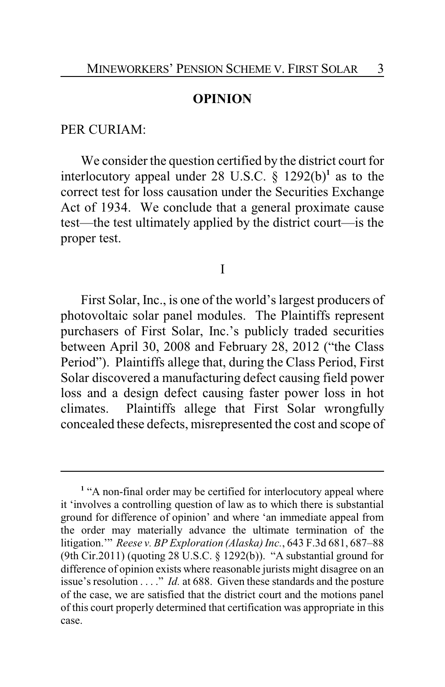#### **OPINION**

#### PER CURIAM:

We consider the question certified by the district court for interlocutory appeal under 28 U.S.C. § 1292(b)**<sup>1</sup>** as to the correct test for loss causation under the Securities Exchange Act of 1934. We conclude that a general proximate cause test—the test ultimately applied by the district court—is the proper test.

I

First Solar, Inc., is one of the world's largest producers of photovoltaic solar panel modules. The Plaintiffs represent purchasers of First Solar, Inc.'s publicly traded securities between April 30, 2008 and February 28, 2012 ("the Class Period"). Plaintiffs allege that, during the Class Period, First Solar discovered a manufacturing defect causing field power loss and a design defect causing faster power loss in hot climates. Plaintiffs allege that First Solar wrongfully concealed these defects, misrepresented the cost and scope of

<sup>&</sup>lt;sup>1</sup> "A non-final order may be certified for interlocutory appeal where it 'involves a controlling question of law as to which there is substantial ground for difference of opinion' and where 'an immediate appeal from the order may materially advance the ultimate termination of the litigation.'" *Reese v. BP Exploration (Alaska)Inc.*, 643 F.3d 681, 687–88 (9th Cir.2011) (quoting 28 U.S.C. § 1292(b)). "A substantial ground for difference of opinion exists where reasonable jurists might disagree on an issue's resolution . . . ." *Id.* at 688. Given these standards and the posture of the case, we are satisfied that the district court and the motions panel of this court properly determined that certification was appropriate in this case.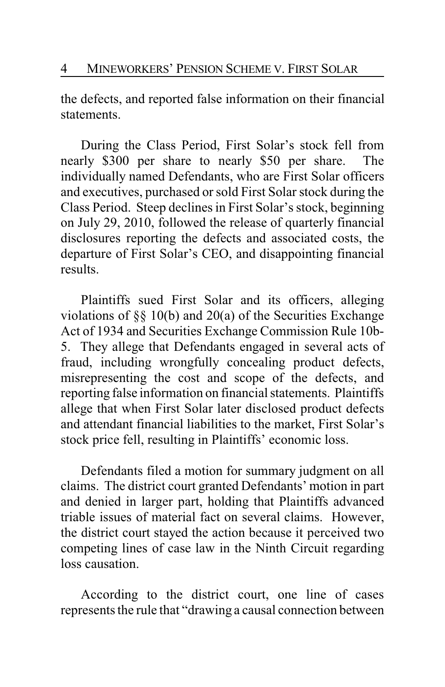the defects, and reported false information on their financial statements.

During the Class Period, First Solar's stock fell from nearly \$300 per share to nearly \$50 per share. The individually named Defendants, who are First Solar officers and executives, purchased or sold First Solar stock during the Class Period. Steep declines in First Solar's stock, beginning on July 29, 2010, followed the release of quarterly financial disclosures reporting the defects and associated costs, the departure of First Solar's CEO, and disappointing financial results.

Plaintiffs sued First Solar and its officers, alleging violations of §§ 10(b) and 20(a) of the Securities Exchange Act of 1934 and Securities Exchange Commission Rule 10b-5. They allege that Defendants engaged in several acts of fraud, including wrongfully concealing product defects, misrepresenting the cost and scope of the defects, and reporting false information on financial statements. Plaintiffs allege that when First Solar later disclosed product defects and attendant financial liabilities to the market, First Solar's stock price fell, resulting in Plaintiffs' economic loss.

Defendants filed a motion for summary judgment on all claims. The district court granted Defendants' motion in part and denied in larger part, holding that Plaintiffs advanced triable issues of material fact on several claims. However, the district court stayed the action because it perceived two competing lines of case law in the Ninth Circuit regarding loss causation.

According to the district court, one line of cases represents the rule that "drawing a causal connection between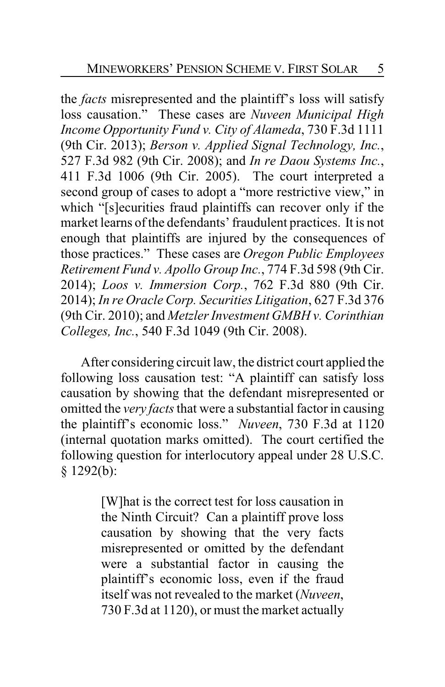the *facts* misrepresented and the plaintiff's loss will satisfy loss causation." These cases are *Nuveen Municipal High Income Opportunity Fund v. City of Alameda*, 730 F.3d 1111 (9th Cir. 2013); *Berson v. Applied Signal Technology, Inc.*, 527 F.3d 982 (9th Cir. 2008); and *In re Daou Systems Inc.*, 411 F.3d 1006 (9th Cir. 2005). The court interpreted a second group of cases to adopt a "more restrictive view," in which "[s]ecurities fraud plaintiffs can recover only if the market learns of the defendants' fraudulent practices. It is not enough that plaintiffs are injured by the consequences of those practices." These cases are *Oregon Public Employees Retirement Fund v. Apollo Group Inc.*, 774 F.3d 598 (9th Cir. 2014); *Loos v. Immersion Corp.*, 762 F.3d 880 (9th Cir. 2014); *In re Oracle Corp. Securities Litigation*, 627 F.3d 376 (9th Cir. 2010); and *Metzler Investment GMBH v. Corinthian Colleges, Inc.*, 540 F.3d 1049 (9th Cir. 2008).

After considering circuit law, the district court applied the following loss causation test: "A plaintiff can satisfy loss causation by showing that the defendant misrepresented or omitted the *very facts*that were a substantial factor in causing the plaintiff's economic loss." *Nuveen*, 730 F.3d at 1120 (internal quotation marks omitted). The court certified the following question for interlocutory appeal under 28 U.S.C. § 1292(b):

> [W]hat is the correct test for loss causation in the Ninth Circuit? Can a plaintiff prove loss causation by showing that the very facts misrepresented or omitted by the defendant were a substantial factor in causing the plaintiff's economic loss, even if the fraud itself was not revealed to the market (*Nuveen*, 730 F.3d at 1120), or must the market actually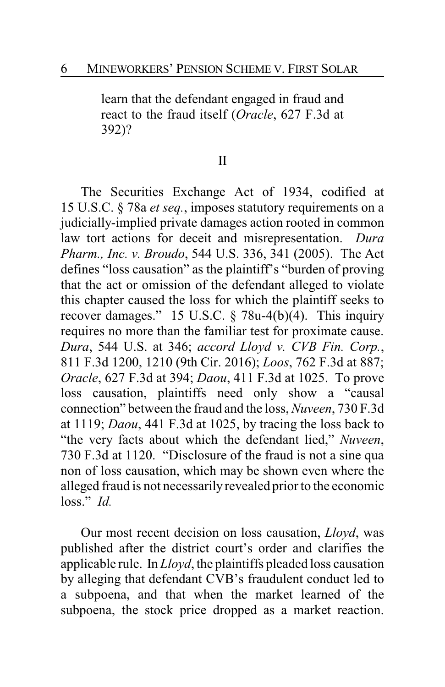learn that the defendant engaged in fraud and react to the fraud itself (*Oracle*, 627 F.3d at 392)?

#### II

The Securities Exchange Act of 1934, codified at 15 U.S.C. § 78a *et seq.*, imposes statutory requirements on a judicially-implied private damages action rooted in common law tort actions for deceit and misrepresentation. *Dura Pharm., Inc. v. Broudo*, 544 U.S. 336, 341 (2005). The Act defines "loss causation" as the plaintiff's "burden of proving that the act or omission of the defendant alleged to violate this chapter caused the loss for which the plaintiff seeks to recover damages." 15 U.S.C. § 78u-4(b)(4). This inquiry requires no more than the familiar test for proximate cause. *Dura*, 544 U.S. at 346; *accord Lloyd v. CVB Fin. Corp.*, 811 F.3d 1200, 1210 (9th Cir. 2016); *Loos*, 762 F.3d at 887; *Oracle*, 627 F.3d at 394; *Daou*, 411 F.3d at 1025. To prove loss causation, plaintiffs need only show a "causal connection" between the fraud and the loss, *Nuveen*, 730 F.3d at 1119; *Daou*, 441 F.3d at 1025, by tracing the loss back to "the very facts about which the defendant lied," *Nuveen*, 730 F.3d at 1120. "Disclosure of the fraud is not a sine qua non of loss causation, which may be shown even where the alleged fraud is not necessarily revealed prior to the economic loss." *Id.*

Our most recent decision on loss causation, *Lloyd*, was published after the district court's order and clarifies the applicable rule. In *Lloyd*, the plaintiffs pleaded loss causation by alleging that defendant CVB's fraudulent conduct led to a subpoena, and that when the market learned of the subpoena, the stock price dropped as a market reaction.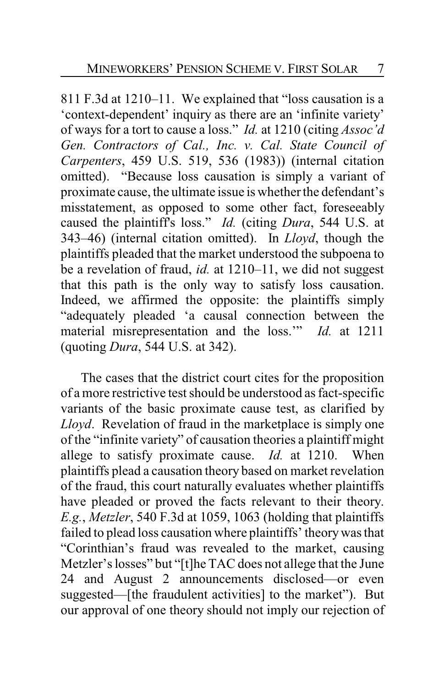811 F.3d at 1210–11. We explained that "loss causation is a 'context-dependent' inquiry as there are an 'infinite variety' of ways for a tort to cause a loss." *Id.* at 1210 (citing *Assoc'd Gen. Contractors of Cal., Inc. v. Cal. State Council of Carpenters*, 459 U.S. 519, 536 (1983)) (internal citation omitted). "Because loss causation is simply a variant of proximate cause, the ultimate issue is whether the defendant's misstatement, as opposed to some other fact, foreseeably caused the plaintiff's loss." *Id.* (citing *Dura*, 544 U.S. at 343–46) (internal citation omitted). In *Lloyd*, though the plaintiffs pleaded that the market understood the subpoena to be a revelation of fraud, *id.* at 1210–11, we did not suggest that this path is the only way to satisfy loss causation. Indeed, we affirmed the opposite: the plaintiffs simply "adequately pleaded 'a causal connection between the material misrepresentation and the loss.'" *Id.* at 1211 (quoting *Dura*, 544 U.S. at 342).

The cases that the district court cites for the proposition of a more restrictive test should be understood as fact-specific variants of the basic proximate cause test, as clarified by *Lloyd*. Revelation of fraud in the marketplace is simply one of the "infinite variety" of causation theories a plaintiff might allege to satisfy proximate cause. *Id.* at 1210. When plaintiffs plead a causation theory based on market revelation of the fraud, this court naturally evaluates whether plaintiffs have pleaded or proved the facts relevant to their theory. *E.g.*, *Metzler*, 540 F.3d at 1059, 1063 (holding that plaintiffs failed to plead loss causation where plaintiffs' theorywas that "Corinthian's fraud was revealed to the market, causing Metzler's losses" but "[t]he TAC does not allege that the June 24 and August 2 announcements disclosed—or even suggested—[the fraudulent activities] to the market"). But our approval of one theory should not imply our rejection of